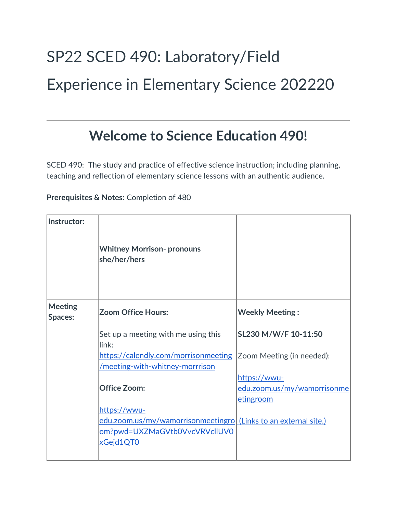# SP22 SCED 490: Laboratory/Field Experience in Elementary Science 202220

# **Welcome to Science Education 490!**

SCED 490: The study and practice of effective science instruction; including planning, teaching and reflection of elementary science lessons with an authentic audience.

**Prerequisites & Notes:** Completion of 480

| Instructor:               | <b>Whitney Morrison- pronouns</b><br>she/her/hers                       |                             |
|---------------------------|-------------------------------------------------------------------------|-----------------------------|
| <b>Meeting</b><br>Spaces: | <b>Zoom Office Hours:</b>                                               | <b>Weekly Meeting:</b>      |
|                           | Set up a meeting with me using this<br>link:                            | SL230 M/W/F 10-11:50        |
|                           | https://calendly.com/morrisonmeeting<br>/meeting-with-whitney-morrrison | Zoom Meeting (in needed):   |
|                           |                                                                         | https://wwu-                |
|                           | <b>Office Zoom:</b>                                                     | edu.zoom.us/my/wamorrisonme |
|                           |                                                                         | etingroom                   |
|                           | https://wwu-                                                            |                             |
|                           | edu.zoom.us/my/wamorrisonmeetingro (Links to an external site.)         |                             |
|                           | om?pwd=UXZMaGVtb0VvcVRVcllUV0                                           |                             |
|                           | xGejd1QT0                                                               |                             |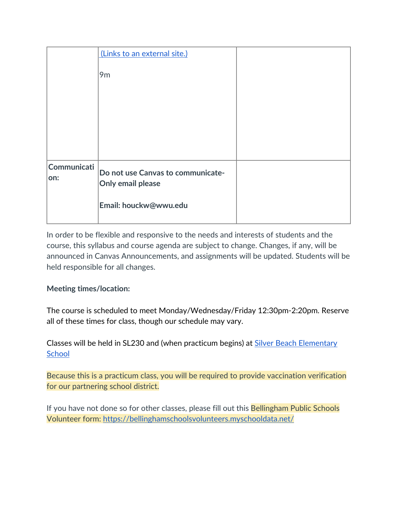|                     | (Links to an external site.)                           |  |
|---------------------|--------------------------------------------------------|--|
|                     | 9 <sub>m</sub>                                         |  |
|                     |                                                        |  |
|                     |                                                        |  |
|                     |                                                        |  |
|                     |                                                        |  |
| Communicati<br> on: | Do not use Canvas to communicate-<br>Only email please |  |
|                     | Email: houckw@wwu.edu                                  |  |

In order to be flexible and responsive to the needs and interests of students and the course, this syllabus and course agenda are subject to change. Changes, if any, will be announced in Canvas Announcements, and assignments will be updated. Students will be held responsible for all changes.

#### **Meeting times/location:**

The course is scheduled to meet Monday/Wednesday/Friday 12:30pm-2:20pm. Reserve all of these times for class, though our schedule may vary.

Classes will be held in SL230 and (when practicum begins) at **Silver Beach Elementary [School](https://silverbeach.bellinghamschools.org/)** 

Because this is a practicum class, you will be required to provide vaccination verification for our partnering school district.

If you have not done so for other classes, please fill out this **Bellingham Public Schools** Volunteer form:<https://bellinghamschoolsvolunteers.myschooldata.net/>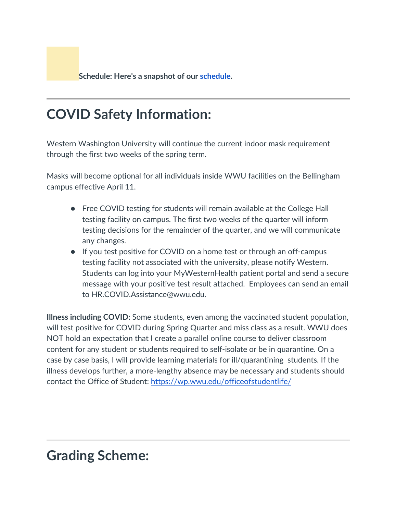**[S](https://bellinghamschoolsvolunteers.myschooldata.net/)chedule: Here's a snapshot of our [schedule.](https://docs.google.com/document/d/1qUxavAvPPiPCCBPulScKDzNNUd8dMqUPUHorB48rbcw/edit)** 

# **COVID Safety Information:**

Western Washington University will continue the current indoor mask requirement through the first two weeks of the spring term.

Masks will become optional for all individuals inside WWU facilities on the Bellingham campus effective April 11.

- Free COVID testing for students will remain available at the College Hall testing facility on campus. The first two weeks of the quarter will inform testing decisions for the remainder of the quarter, and we will communicate any changes.
- If you test positive for COVID on a home test or through an off-campus testing facility not associated with the university, please notify Western. Students can log into your MyWesternHealth patient portal and send a secure message with your positive test result attached. Employees can send an email to HR.COVID.Assistance@wwu.edu.

**Illness including COVID:** Some students, even among the vaccinated student population, will test positive for COVID during Spring Quarter and miss class as a result. WWU does NOT hold an expectation that I create a parallel online course to deliver classroom content for any student or students required to self-isolate or be in quarantine. On a case by case basis, I will provide learning materials for ill/quarantining students. If the illness develops further, a more-lengthy absence may be necessary and students should contact the Office of Student:<https://wp.wwu.edu/officeofstudentlife/>

#### **Grading Scheme:**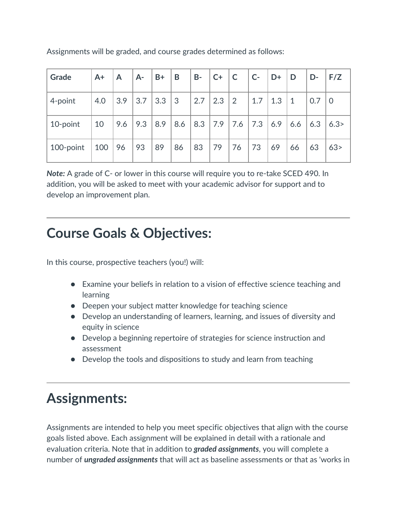| Grade     | $A+$ | $\mathsf{A}$ | $A -$ | $B+$ | B               | $B -$ | $C+$ | $\mathsf{C}$    | $TC$ - | $+D+$ | $\overline{D}$ | D-  | F/Z  |
|-----------|------|--------------|-------|------|-----------------|-------|------|-----------------|--------|-------|----------------|-----|------|
| 4-point   | 4.0  | 3.9          | 3.7   | 3.3  | $\vert 3 \vert$ | 2.7   | 2.3  | $\vert 2 \vert$ | 1.7    | 1.3   | $\vert$ 1      | 0.7 | l 0  |
| 10-point  | 10   | 9.6          | 9.3   | 8.9  | 8.6             | 8.3   | 7.9  | 7.6             | 7.3    | 6.9   | 6.6            | 6.3 | 6.3> |
| 100-point | 100  | 96           | 93    | 89   | 86              | 83    | 79   | 76              | 73     | 69    | 66             | 63  | 63>  |

Assignments will be graded, and course grades determined as follows:

*Note:* A grade of C- or lower in this course will require you to re-take SCED 490. In addition, you will be asked to meet with your academic advisor for support and to develop an improvement plan.

### **Course Goals & Objectives:**

In this course, prospective teachers (you!) will:

- Examine your beliefs in relation to a vision of effective science teaching and learning
- Deepen your subject matter knowledge for teaching science
- Develop an understanding of learners, learning, and issues of diversity and equity in science
- Develop a beginning repertoire of strategies for science instruction and assessment
- Develop the tools and dispositions to study and learn from teaching

### **Assignments:**

Assignments are intended to help you meet specific objectives that align with the course goals listed above. Each assignment will be explained in detail with a rationale and evaluation criteria. Note that in addition to *graded assignments*, you will complete a number of *ungraded assignments* that will act as baseline assessments or that as 'works in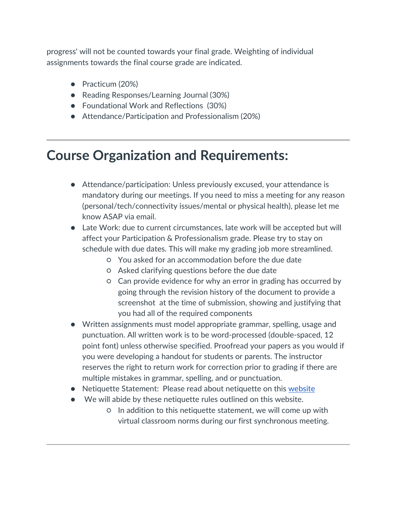progress' will not be counted towards your final grade. Weighting of individual assignments towards the final course grade are indicated.

- Practicum (20%)
- Reading Responses/Learning Journal (30%)
- Foundational Work and Reflections (30%)
- Attendance/Participation and Professionalism (20%)

#### **Course Organization and Requirements:**

- Attendance/participation: Unless previously excused, your attendance is mandatory during our meetings. If you need to miss a meeting for any reason (personal/tech/connectivity issues/mental or physical health), please let me know ASAP via email.
- Late Work: due to current circumstances, late work will be accepted but will affect your Participation & Professionalism grade. Please try to stay on schedule with due dates. This will make my grading job more streamlined.
	- You asked for an accommodation before the due date
	- Asked clarifying questions before the due date
	- Can provide evidence for why an error in grading has occurred by going through the revision history of the document to provide a screenshot at the time of submission, showing and justifying that you had all of the required components
- Written assignments must model appropriate grammar, spelling, usage and punctuation. All written work is to be word-processed (double-spaced, 12 point font) unless otherwise specified. Proofread your papers as you would if you were developing a handout for students or parents. The instructor reserves the right to return work for correction prior to grading if there are multiple mistakes in grammar, spelling, and or punctuation.
- Netiquette Statement: Please read about netiquette on this [website](http://www.albion.com/netiquette/corerules.html)
- We will abide by these netiquette rules outlined on this website.
	- In addition to this netiquette statement, we will come up with virtual classroom norms during our first synchronous meeting.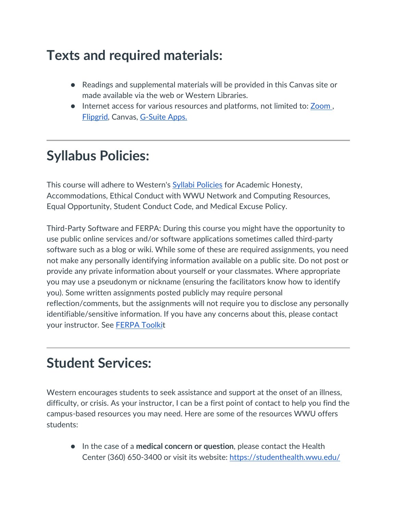# **Texts and required materials:**

- Readings and supplemental materials will be provided in this Canvas site or made available via the web or Western Libraries.
- Internet access for various resources and platforms, not limited to: **Zoom**, [Flipgrid,](https://info.flipgrid.com/) Canvas, [G-Suite Apps.](https://gsuite.google.com/?utm_source=google&utm_medium=cpc&utm_campaign=na-US-all-en-dr-bkws-all-all-trial-e-dr-1008072&utm_content=text-ad-none-any-DEV_c-CRE_331696211006-ADGP_Hybrid%20%7C%20AW%20SEM%20%7C%20BKWS%20%7E%20EXA%20%2F%2F%20GSuite%20%5B1:1%5D%20GSuite-KWID_43700015362134797-kwd-74870110717&utm_term=KW_gsuite-ST_gsuite&gclid=Cj0KCQjwyPbzBRDsARIsAFh15JZcNFuzHyeD6SpoVAhnqO6Vlsc1S_A-F4EInRbcDInGFv6f5Hh9YkUaAt8xEALw_wcB&gclsrc=aw.ds)

# **Syllabus Policies:**

This course will adhere to Western's **Syllabi Policies** for Academic Honesty, Accommodations, Ethical Conduct with WWU Network and Computing Resources, Equal Opportunity, Student Conduct Code, and Medical Excuse Policy.

Third-Party Software and FERPA: During this course you might have the opportunity to use public online services and/or software applications sometimes called third-party software such as a blog or wiki. While some of these are required assignments, you need not make any personally identifying information available on a public site. Do not post or provide any private information about yourself or your classmates. Where appropriate you may use a pseudonym or nickname (ensuring the facilitators know how to identify you). Some written assignments posted publicly may require personal reflection/comments, but the assignments will not require you to disclose any personally identifiable/sensitive information. If you have any concerns about this, please contact your instructor. See [FERPA Toolkit](https://www.wwu.edu/teachinghandbook/resources_support/ferpa_toolkit.shtml)

### **Student Services:**

Western encourages students to seek assistance and support at the onset of an illness, difficulty, or crisis. As your instructor, I can be a first point of contact to help you find the campus-based resources you may need. Here are some of the resources WWU offers students:

● In the case of a **medical concern or question**, please contact the Health Center (360) 650-3400 or visit its website:<https://studenthealth.wwu.edu/>